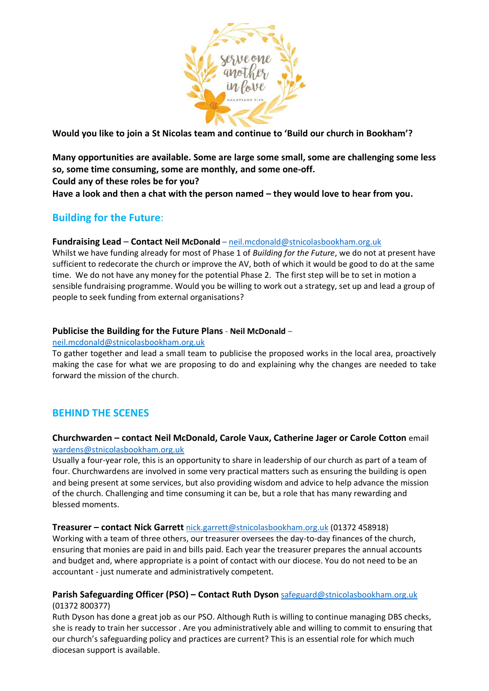

**Would you like to join a St Nicolas team and continue to 'Build our church in Bookham'?**

**Many opportunities are available. Some are large some small, some are challenging some less so, some time consuming, some are monthly, and some one-off. Could any of these roles be for you?** 

**Have a look and then a chat with the person named – they would love to hear from you.**

# **Building for the Future**:

# **Fundraising Lead – Contact Neil McDonald** – neil.mcdonald@stnicolasbookham.org.uk

Whilst we have funding already for most of Phase 1 of *Building for the Future*, we do not at present have sufficient to redecorate the church or improve the AV, both of which it would be good to do at the same time. We do not have any money for the potential Phase 2. The first step will be to set in motion a sensible fundraising programme. Would you be willing to work out a strategy, set up and lead a group of people to seek funding from external organisations?

# **Publicise the Building for the Future Plans** - **Neil McDonald** –

### neil.mcdonald@stnicolasbookham.org.uk

To gather together and lead a small team to publicise the proposed works in the local area, proactively making the case for what we are proposing to do and explaining why the changes are needed to take forward the mission of the church.

# **BEHIND THE SCENES**

# **Churchwarden – contact Neil McDonald, Carole Vaux, Catherine Jager or Carole Cotton** email [wardens@stnicolasbookham.org.uk](mailto:wardens@stnicolasbookham.org.uk)

Usually a four-year role, this is an opportunity to share in leadership of our church as part of a team of four. Churchwardens are involved in some very practical matters such as ensuring the building is open and being present at some services, but also providing wisdom and advice to help advance the mission of the church. Challenging and time consuming it can be, but a role that has many rewarding and blessed moments.

# **Treasurer – contact Nick Garrett** [nick.garrett@stnicolasbookham.org.uk](mailto:nick.garrett@stnicolasbookham.org.uk) (01372 458918)

Working with a team of three others, our treasurer oversees the day-to-day finances of the church, ensuring that monies are paid in and bills paid. Each year the treasurer prepares the annual accounts and budget and, where appropriate is a point of contact with our diocese. You do not need to be an accountant - just numerate and administratively competent.

# **Parish Safeguarding Officer (PSO) – Contact Ruth Dyson** safeguard@stnicolasbookham.org.uk (01372 800377)

Ruth Dyson has done a great job as our PSO. Although Ruth is willing to continue managing DBS checks, she is ready to train her successor . Are you administratively able and willing to commit to ensuring that our church's safeguarding policy and practices are current? This is an essential role for which much diocesan support is available.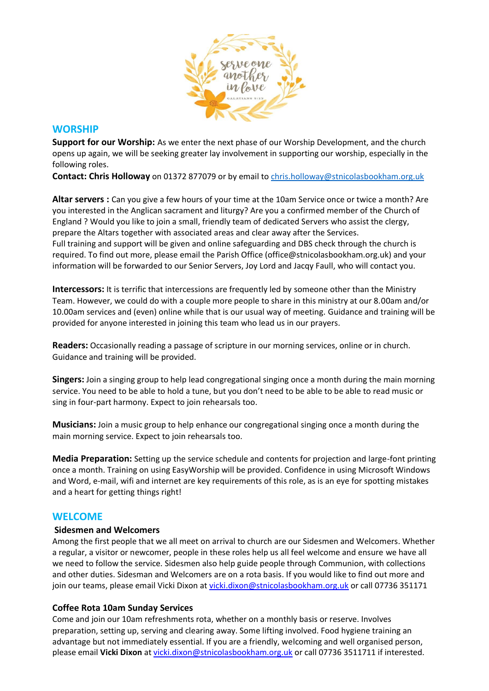

# **WORSHIP**

**Support for our Worship:** As we enter the next phase of our Worship Development, and the church opens up again, we will be seeking greater lay involvement in supporting our worship, especially in the following roles.

Contact: Chris Holloway on 01372 877079 or by email to [chris.holloway@stnicolasbookham.org.uk](mailto:chris.holloway@stnicolasbookham.org.uk)

**Altar servers :** Can you give a few hours of your time at the 10am Service once or twice a month? Are you interested in the Anglican sacrament and liturgy? Are you a confirmed member of the Church of England ? Would you like to join a small, friendly team of dedicated Servers who assist the clergy, prepare the Altars together with associated areas and clear away after the Services. Full training and support will be given and online safeguarding and DBS check through the church is required. To find out more, please email the Parish Office (office@stnicolasbookham.org.uk) and your information will be forwarded to our Senior Servers, Joy Lord and Jacqy Faull, who will contact you.

**Intercessors:** It is terrific that intercessions are frequently led by someone other than the Ministry Team. However, we could do with a couple more people to share in this ministry at our 8.00am and/or 10.00am services and (even) online while that is our usual way of meeting. Guidance and training will be provided for anyone interested in joining this team who lead us in our prayers.

**Readers:** Occasionally reading a passage of scripture in our morning services, online or in church. Guidance and training will be provided.

**Singers:** Join a singing group to help lead congregational singing once a month during the main morning service. You need to be able to hold a tune, but you don't need to be able to be able to read music or sing in four-part harmony. Expect to join rehearsals too.

**Musicians:** Join a music group to help enhance our congregational singing once a month during the main morning service. Expect to join rehearsals too.

**Media Preparation:** Setting up the service schedule and contents for projection and large-font printing once a month. Training on using EasyWorship will be provided. Confidence in using Microsoft Windows and Word, e-mail, wifi and internet are key requirements of this role, as is an eye for spotting mistakes and a heart for getting things right!

# **WELCOME**

#### **Sidesmen and Welcomers**

Among the first people that we all meet on arrival to church are our Sidesmen and Welcomers. Whether a regular, a visitor or newcomer, people in these roles help us all feel welcome and ensure we have all we need to follow the service. Sidesmen also help guide people through Communion, with collections and other duties. Sidesman and Welcomers are on a rota basis. If you would like to find out more and join our teams, please email Vicki Dixon at [vicki.dixon@stnicolasbookham.org.uk](mailto:vicki.dixon@stnicolasbookham.org.uk) or call 07736 351171

# **Coffee Rota 10am Sunday Services**

Come and join our 10am refreshments rota, whether on a monthly basis or reserve. Involves preparation, setting up, serving and clearing away. Some lifting involved. Food hygiene training an advantage but not immediately essential. If you are a friendly, welcoming and well organised person, please email **Vicki Dixon** at [vicki.dixon@stnicolasbookham.org.uk](mailto:vicki.dixon@stnicolasbookham.org.uk) or call 07736 3511711 if interested.